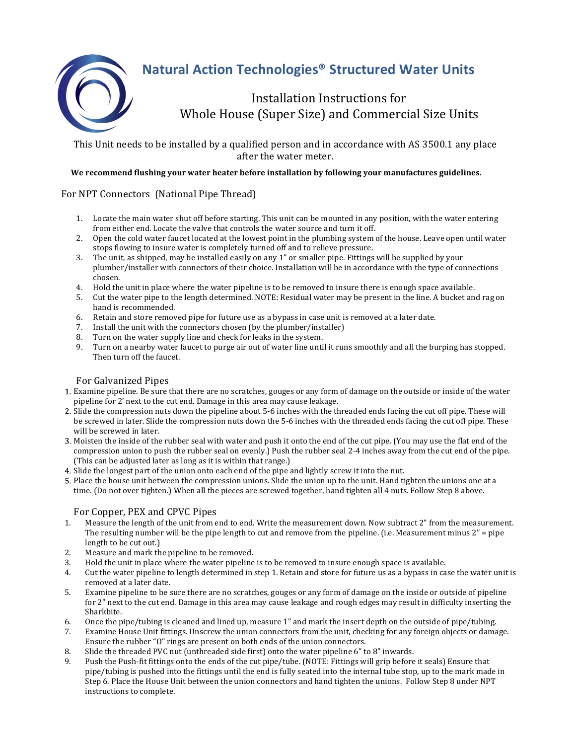

# **Natural Action Technologies® Structured Water Units**

Installation Instructions for Whole House (Super Size) and Commercial Size Units

This Unit needs to be installed by a qualified person and in accordance with AS 3500.1 any place after the water meter.

#### We recommend flushing your water heater before installation by following your manufactures guidelines.

## For NPT Connectors (National Pipe Thread)

- 1. Locate the main water shut off before starting. This unit can be mounted in any position, with the water entering from either end. Locate the valve that controls the water source and turn it off.
- 2. Open the cold water faucet located at the lowest point in the plumbing system of the house. Leave open until water stops flowing to insure water is completely turned off and to relieve pressure.
- 3. The unit, as shipped, may be installed easily on any 1" or smaller pipe. Fittings will be supplied by your plumber/installer with connectors of their choice. Installation will be in accordance with the type of connections chosen.
- 4. Hold the unit in place where the water pipeline is to be removed to insure there is enough space available.
- 5. Cut the water pipe to the length determined. NOTE: Residual water may be present in the line. A bucket and rag on hand is recommended.
- 6. Retain and store removed pipe for future use as a bypass in case unit is removed at a later date.
- 7. Install the unit with the connectors chosen (by the plumber/installer)
- 8. Turn on the water supply line and check for leaks in the system.<br>9. Turn on a nearby water faucet to purge air out of water line unti-
- Turn on a nearby water faucet to purge air out of water line until it runs smoothly and all the burping has stopped. Then turn off the faucet.

## For Galvanized Pipes

- 1. Examine pipeline. Be sure that there are no scratches, gouges or any form of damage on the outside or inside of the water pipeline for 2' next to the cut end. Damage in this area may cause leakage.
- 2. Slide the compression nuts down the pipeline about 5-6 inches with the threaded ends facing the cut off pipe. These will be screwed in later. Slide the compression nuts down the 5-6 inches with the threaded ends facing the cut off pipe. These will be screwed in later.
- 3. Moisten the inside of the rubber seal with water and push it onto the end of the cut pipe. (You may use the flat end of the compression union to push the rubber seal on evenly.) Push the rubber seal 2-4 inches away from the cut end of the pipe. (This can be adjusted later as long as it is within that range.)
- 4. Slide the longest part of the union onto each end of the pipe and lightly screw it into the nut.
- 5. Place the house unit between the compression unions. Slide the union up to the unit. Hand tighten the unions one at a time. (Do not over tighten.) When all the pieces are screwed together, hand tighten all 4 nuts. Follow Step 8 above.

#### For Copper, PEX and CPVC Pipes

- 1. Measure the length of the unit from end to end. Write the measurement down. Now subtract 2" from the measurement. The resulting number will be the pipe length to cut and remove from the pipeline. (i.e. Measurement minus  $2<sup>n</sup>$  = pipe length to be cut out.)
- 2. Measure and mark the pipeline to be removed.
- 3. Hold the unit in place where the water pipeline is to be removed to insure enough space is available.
- 4. Cut the water pipeline to length determined in step 1. Retain and store for future us as a bypass in case the water unit is removed at a later date.
- 5. Examine pipeline to be sure there are no scratches, gouges or any form of damage on the inside or outside of pipeline for  $2<sup>n</sup>$  next to the cut end. Damage in this area may cause leakage and rough edges may result in difficulty inserting the Sharkbite.
- 6. Once the pipe/tubing is cleaned and lined up, measure 1" and mark the insert depth on the outside of pipe/tubing.
- 7. Examine House Unit fittings. Unscrew the union connectors from the unit, checking for any foreign objects or damage. Ensure the rubber "O" rings are present on both ends of the union connectors.
- 8. Slide the threaded PVC nut (unthreaded side first) onto the water pipeline 6" to 8" inwards.
- 9. Push the Push-fit fittings onto the ends of the cut pipe/tube. (NOTE: Fittings will grip before it seals) Ensure that pipe/tubing is pushed into the fittings until the end is fully seated into the internal tube stop, up to the mark made in Step 6. Place the House Unit between the union connectors and hand tighten the unions. Follow Step 8 under NPT instructions to complete.